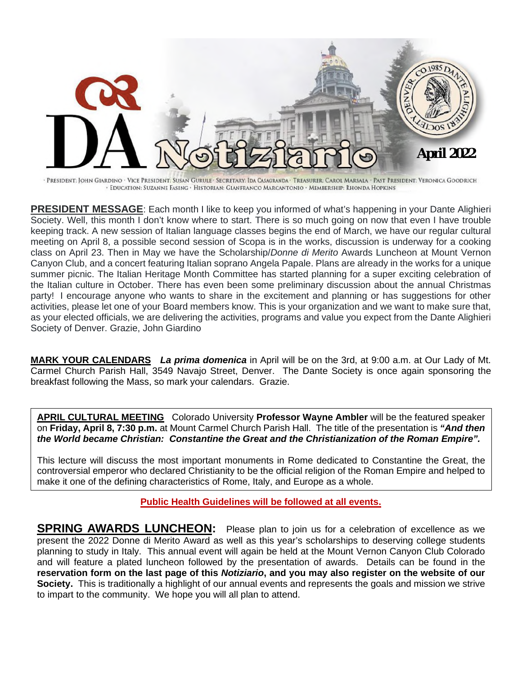

· PRESIDENT: JOHN GIARDINO · VICE PRESIDENT: SUSAN GURULE · SECRETARY: IDA CASAGRANDA · TREASURER: CAROL MARSALA · PAST PRESIDENT: VERONICA GOODRICH · EDUCATION: SUZANNE EASING · HISTORIAN: GIANFRANCO MARCANTONIO · MEMBERSHIP: RHONDA HOPKINS

**PRESIDENT MESSAGE**: Each month I like to keep you informed of what's happening in your Dante Alighieri Society. Well, this month I don't know where to start. There is so much going on now that even I have trouble keeping track. A new session of Italian language classes begins the end of March, we have our regular cultural meeting on April 8, a possible second session of Scopa is in the works, discussion is underway for a cooking class on April 23. Then in May we have the Scholarship/*Donne di Merito* Awards Luncheon at Mount Vernon Canyon Club, and a concert featuring Italian soprano Angela Papale. Plans are already in the works for a unique summer picnic. The Italian Heritage Month Committee has started planning for a super exciting celebration of the Italian culture in October. There has even been some preliminary discussion about the annual Christmas party! I encourage anyone who wants to share in the excitement and planning or has suggestions for other activities, please let one of your Board members know. This is your organization and we want to make sure that, as your elected officials, we are delivering the activities, programs and value you expect from the Dante Alighieri Society of Denver. Grazie, John Giardino

**MARK YOUR CALENDARS** *La prima domenica* in April will be on the 3rd, at 9:00 a.m. at Our Lady of Mt. Carmel Church Parish Hall, 3549 Navajo Street, Denver. The Dante Society is once again sponsoring the breakfast following the Mass, so mark your calendars. Grazie.

**APRIL CULTURAL MEETING** Colorado University **Professor Wayne Ambler** will be the featured speaker on **Friday, April 8, 7:30 p.m.** at Mount Carmel Church Parish Hall. The title of the presentation is *"And then the World became Christian: Constantine the Great and the Christianization of the Roman Empire".* 

This lecture will discuss the most important monuments in Rome dedicated to Constantine the Great, the controversial emperor who declared Christianity to be the official religion of the Roman Empire and helped to make it one of the defining characteristics of Rome, Italy, and Europe as a whole.

**Public Health Guidelines will be followed at all events.** 

**SPRING AWARDS LUNCHEON:** Please plan to join us for a celebration of excellence as we present the 2022 Donne di Merito Award as well as this year's scholarships to deserving college students planning to study in Italy. This annual event will again be held at the Mount Vernon Canyon Club Colorado and will feature a plated luncheon followed by the presentation of awards. Details can be found in the **reservation form on the last page of this** *Notiziario***, and you may also register on the website of our Society.** This is traditionally a highlight of our annual events and represents the goals and mission we strive to impart to the community. We hope you will all plan to attend.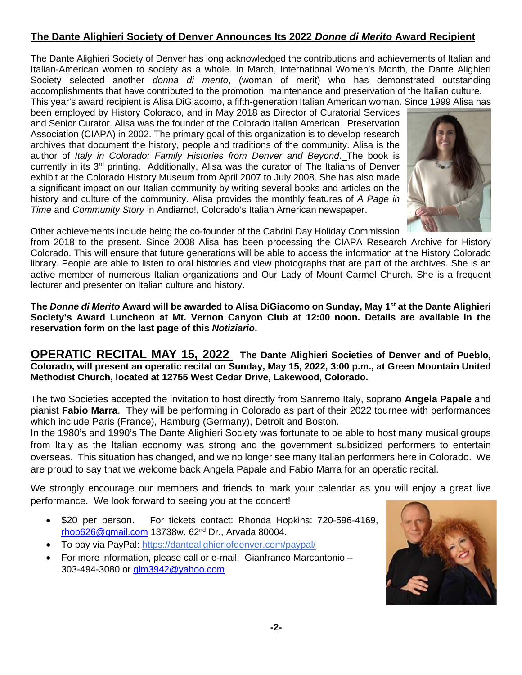## **The Dante Alighieri Society of Denver Announces Its 2022** *Donne di Merito* **Award Recipient**

The Dante Alighieri Society of Denver has long acknowledged the contributions and achievements of Italian and Italian-American women to society as a whole. In March, International Women's Month, the Dante Alighieri Society selected another *donna di merito*, (woman of merit) who has demonstrated outstanding accomplishments that have contributed to the promotion, maintenance and preservation of the Italian culture. This year's award recipient is Alisa DiGiacomo, a fifth-generation Italian American woman. Since 1999 Alisa has

been employed by History Colorado, and in May 2018 as Director of Curatorial Services and Senior Curator. Alisa was the founder of the Colorado Italian American Preservation Association (CIAPA) in 2002. The primary goal of this organization is to develop research archives that document the history, people and traditions of the community. Alisa is the author of *Italy in Colorado: Family Histories from Denver and Beyond*. The book is currently in its 3<sup>rd</sup> printing. Additionally, Alisa was the curator of The Italians of Denver exhibit at the Colorado History Museum from April 2007 to July 2008. She has also made a significant impact on our Italian community by writing several books and articles on the history and culture of the community. Alisa provides the monthly features of *A Page in Time* and *Community Story* in Andiamo!, Colorado's Italian American newspaper.



Other achievements include being the co-founder of the Cabrini Day Holiday Commission

from 2018 to the present. Since 2008 Alisa has been processing the CIAPA Research Archive for History Colorado. This will ensure that future generations will be able to access the information at the History Colorado library. People are able to listen to oral histories and view photographs that are part of the archives. She is an active member of numerous Italian organizations and Our Lady of Mount Carmel Church. She is a frequent lecturer and presenter on Italian culture and history.

**The** *Donne di Merito* **Award will be awarded to Alisa DiGiacomo on Sunday, May 1st at the Dante Alighieri Society's Award Luncheon at Mt. Vernon Canyon Club at 12:00 noon. Details are available in the reservation form on the last page of this** *Notiziario***.** 

**OPERATIC RECITAL MAY 15, 2022 The Dante Alighieri Societies of Denver and of Pueblo, Colorado, will present an operatic recital on Sunday, May 15, 2022, 3:00 p.m., at Green Mountain United Methodist Church, located at 12755 West Cedar Drive, Lakewood, Colorado.** 

The two Societies accepted the invitation to host directly from Sanremo Italy, soprano **Angela Papale** and pianist **Fabio Marra**. They will be performing in Colorado as part of their 2022 tournee with performances which include Paris (France), Hamburg (Germany), Detroit and Boston.

In the 1980's and 1990's The Dante Alighieri Society was fortunate to be able to host many musical groups from Italy as the Italian economy was strong and the government subsidized performers to entertain overseas. This situation has changed, and we no longer see many Italian performers here in Colorado. We are proud to say that we welcome back Angela Papale and Fabio Marra for an operatic recital.

We strongly encourage our members and friends to mark your calendar as you will enjoy a great live performance. We look forward to seeing you at the concert!

- \$20 per person. For tickets contact: Rhonda Hopkins: 720-596-4169, rhop626@gmail.com 13738w. 62nd Dr., Arvada 80004.
- To pay via PayPal: https://dantealighieriofdenver.com/paypal/
- For more information, please call or e-mail: Gianfranco Marcantonio 303-494-3080 or glm3942@yahoo.com

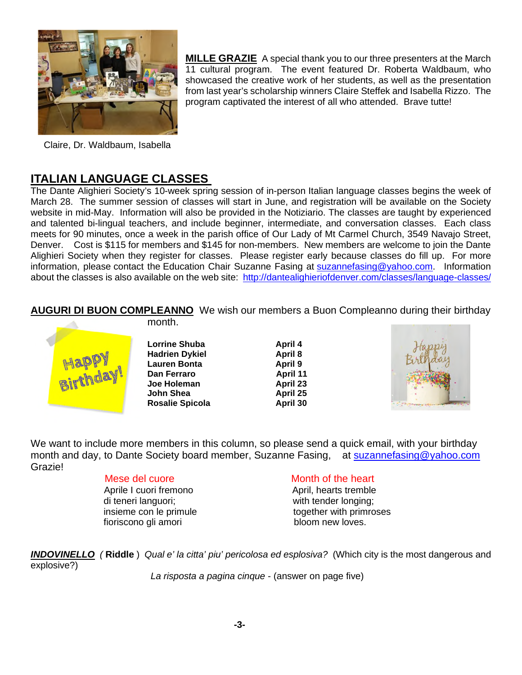

**MILLE GRAZIE** A special thank you to our three presenters at the March 11 cultural program. The event featured Dr. Roberta Waldbaum, who showcased the creative work of her students, as well as the presentation from last year's scholarship winners Claire Steffek and Isabella Rizzo. The program captivated the interest of all who attended. Brave tutte!

Claire, Dr. Waldbaum, Isabella

## **ITALIAN LANGUAGE CLASSES**

The Dante Alighieri Society's 10-week spring session of in-person Italian language classes begins the week of March 28. The summer session of classes will start in June, and registration will be available on the Society website in mid-May. Information will also be provided in the Notiziario. The classes are taught by experienced and talented bi-lingual teachers, and include beginner, intermediate, and conversation classes. Each class meets for 90 minutes, once a week in the parish office of Our Lady of Mt Carmel Church, 3549 Navajo Street, Denver. Cost is \$115 for members and \$145 for non-members. New members are welcome to join the Dante Alighieri Society when they register for classes. Please register early because classes do fill up. For more information, please contact the Education Chair Suzanne Fasing at suzannefasing@yahoo.com. Information about the classes is also available on the web site: http://dantealighieriofdenver.com/classes/language-classes/

**AUGURI DI BUON COMPLEANNO** We wish our members a Buon Compleanno during their birthday



**Lorrine Shuba April 4 Hadrien Dykiel April 8**<br> **Lauren Bonta** April 9 **Lauren Bonta Dan Ferraro April 11 Joe Holeman April 23 John Shea April 25 Rosalie Spicola April 30** 

month.



We want to include more members in this column, so please send a quick email, with your birthday month and day, to Dante Society board member, Suzanne Fasing, at suzannefasing@yahoo.com Grazie!

Aprile I cuori fremono April, hearts tremble di teneri languori; with tender longing; fioriscono gli amori bloom new loves.

#### Mese del cuore Month of the heart

insieme con le primule together with primroses

*INDOVINELLO (* **Riddle** ) *Qual e' la citta' piu' pericolosa ed esplosiva?* (Which city is the most dangerous and explosive?)

*La risposta a pagina cinque* - (answer on page five)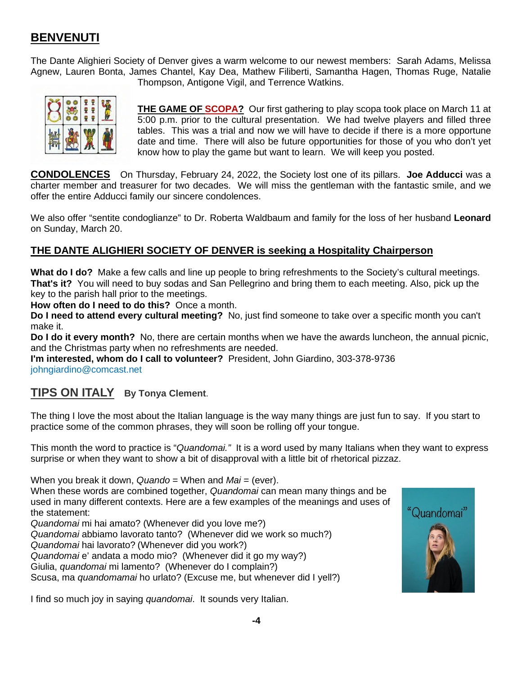## **BENVENUTI**

The Dante Alighieri Society of Denver gives a warm welcome to our newest members: Sarah Adams, Melissa Agnew, Lauren Bonta, James Chantel, Kay Dea, Mathew Filiberti, Samantha Hagen, Thomas Ruge, Natalie



Thompson, Antigone Vigil, and Terrence Watkins.

**THE GAME OF SCOPA?** Our first gathering to play scopa took place on March 11 at 5:00 p.m. prior to the cultural presentation. We had twelve players and filled three tables. This was a trial and now we will have to decide if there is a more opportune date and time. There will also be future opportunities for those of you who don't yet know how to play the game but want to learn. We will keep you posted.

**CONDOLENCES** On Thursday, February 24, 2022, the Society lost one of its pillars. **Joe Adducci** was a charter member and treasurer for two decades. We will miss the gentleman with the fantastic smile, and we offer the entire Adducci family our sincere condolences.

We also offer "sentite condoglianze" to Dr. Roberta Waldbaum and family for the loss of her husband **Leonard** on Sunday, March 20.

### **THE DANTE ALIGHIERI SOCIETY OF DENVER is seeking a Hospitality Chairperson**

**What do I do?** Make a few calls and line up people to bring refreshments to the Society's cultural meetings. **That's it?** You will need to buy sodas and San Pellegrino and bring them to each meeting. Also, pick up the key to the parish hall prior to the meetings.

**How often do I need to do this?** Once a month.

**Do I need to attend every cultural meeting?** No, just find someone to take over a specific month you can't make it.

**Do I do it every month?** No, there are certain months when we have the awards luncheon, the annual picnic, and the Christmas party when no refreshments are needed.

**I'm interested, whom do I call to volunteer?** President, John Giardino, 303-378-9736 johngiardino@comcast.net

## **TIPS ON ITALY By Tonya Clement**.

The thing I love the most about the Italian language is the way many things are just fun to say. If you start to practice some of the common phrases, they will soon be rolling off your tongue.

This month the word to practice is "*Quandomai."* It is a word used by many Italians when they want to express surprise or when they want to show a bit of disapproval with a little bit of rhetorical pizzaz.

When you break it down, *Quando* = When and *Mai* = (ever). When these words are combined together, *Quandomai* can mean many things and be used in many different contexts. Here are a few examples of the meanings and uses of the statement: *Quandomai* mi hai amato? (Whenever did you love me?) *Quandomai* abbiamo lavorato tanto? (Whenever did we work so much?) *Quandomai* hai lavorato? (Whenever did you work?) *Quandomai* e' andata a modo mio? (Whenever did it go my way?)

Giulia, *quandomai* mi lamento? (Whenever do I complain?)

Scusa, ma *quandomamai* ho urlato? (Excuse me, but whenever did I yell?)

I find so much joy in saying *quandomai*. It sounds very Italian.

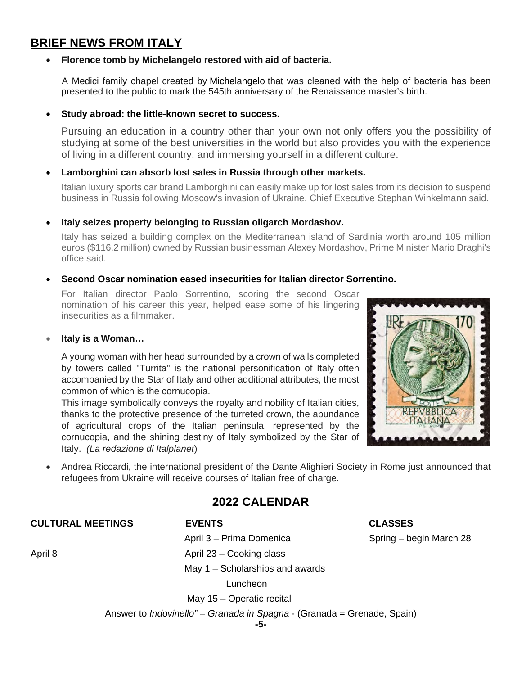## **BRIEF NEWS FROM ITALY**

#### **Florence tomb by Michelangelo restored with aid of bacteria.**

A Medici family chapel created by Michelangelo that was cleaned with the help of bacteria has been presented to the public to mark the 545th anniversary of the Renaissance master's birth.

#### **Study abroad: the little-known secret to success.**

Pursuing an education in a country other than your own not only offers you the possibility of studying at some of the best universities in the world but also provides you with the experience of living in a different country, and immersing yourself in a different culture.

#### **Lamborghini can absorb lost sales in Russia through other markets.**

Italian luxury sports car brand Lamborghini can easily make up for lost sales from its decision to suspend business in Russia following Moscow's invasion of Ukraine, Chief Executive Stephan Winkelmann said.

#### **Italy seizes property belonging to Russian oligarch Mordashov.**

Italy has seized a building complex on the Mediterranean island of Sardinia worth around 105 million euros (\$116.2 million) owned by Russian businessman Alexey Mordashov, Prime Minister Mario Draghi's office said.

#### **Second Oscar nomination eased insecurities for Italian director Sorrentino.**

For Italian director Paolo Sorrentino, scoring the second Oscar nomination of his career this year, helped ease some of his lingering insecurities as a filmmaker.

#### **Italy is a Woman…**

A young woman with her head surrounded by a crown of walls completed by towers called "Turrita" is the national personification of Italy often accompanied by the Star of Italy and other additional attributes, the most common of which is the cornucopia.

This image symbolically conveys the royalty and nobility of Italian cities, thanks to the protective presence of the turreted crown, the abundance of agricultural crops of the Italian peninsula, represented by the cornucopia, and the shining destiny of Italy symbolized by the Star of Italy. *(La redazione di Italplanet*)



 Andrea Riccardi, the international president of the Dante Alighieri Society in Rome just announced that refugees from Ukraine will receive courses of Italian free of charge.

## **2022 CALENDAR**

#### **CULTURAL MEETINGS EVENTS CLASSES**

April 3 – Prima Domenica Spring – begin March 28

April 8 April 23 – Cooking class

May 1 – Scholarships and awards

Luncheon

May 15 – Operatic recital

Answer to *Indovinello" – Granada in Spagna* - (Granada = Grenade, Spain)